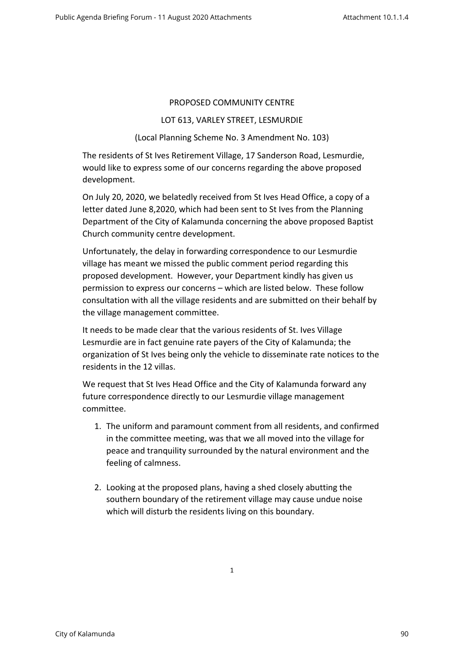## PROPOSED COMMUNITY CENTRE

## LOT 613, VARLEY STREET, LESMURDIE

## (Local Planning Scheme No. 3 Amendment No. 103)

The residents of St Ives Retirement Village, 17 Sanderson Road, Lesmurdie, would like to express some of our concerns regarding the above proposed development.

On July 20, 2020, we belatedly received from St Ives Head Office, a copy of a letter dated June 8,2020, which had been sent to St Ives from the Planning Department of the City of Kalamunda concerning the above proposed Baptist Church community centre development.

Unfortunately, the delay in forwarding correspondence to our Lesmurdie village has meant we missed the public comment period regarding this proposed development. However, your Department kindly has given us permission to express our concerns – which are listed below. These follow consultation with all the village residents and are submitted on their behalf by the village management committee.

It needs to be made clear that the various residents of St. Ives Village Lesmurdie are in fact genuine rate payers of the City of Kalamunda; the organization of St Ives being only the vehicle to disseminate rate notices to the residents in the 12 villas.

We request that St Ives Head Office and the City of Kalamunda forward any future correspondence directly to our Lesmurdie village management committee.

- 1. The uniform and paramount comment from all residents, and confirmed in the committee meeting, was that we all moved into the village for peace and tranquility surrounded by the natural environment and the feeling of calmness.
- 2. Looking at the proposed plans, having a shed closely abutting the southern boundary of the retirement village may cause undue noise which will disturb the residents living on this boundary.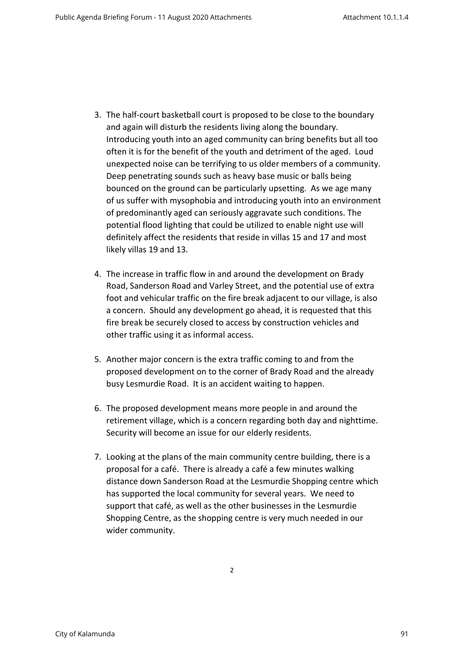- 3. The half-court basketball court is proposed to be close to the boundary and again will disturb the residents living along the boundary. Introducing youth into an aged community can bring benefits but all too often it is for the benefit of the youth and detriment of the aged. Loud unexpected noise can be terrifying to us older members of a community. Deep penetrating sounds such as heavy base music or balls being bounced on the ground can be particularly upsetting. As we age many of us suffer with mysophobia and introducing youth into an environment of predominantly aged can seriously aggravate such conditions. The potential flood lighting that could be utilized to enable night use will definitely affect the residents that reside in villas 15 and 17 and most likely villas 19 and 13.
- 4. The increase in traffic flow in and around the development on Brady Road, Sanderson Road and Varley Street, and the potential use of extra foot and vehicular traffic on the fire break adjacent to our village, is also a concern. Should any development go ahead, it is requested that this fire break be securely closed to access by construction vehicles and other traffic using it as informal access.
- 5. Another major concern is the extra traffic coming to and from the proposed development on to the corner of Brady Road and the already busy Lesmurdie Road. It is an accident waiting to happen.
- 6. The proposed development means more people in and around the retirement village, which is a concern regarding both day and nighttime. Security will become an issue for our elderly residents.
- 7. Looking at the plans of the main community centre building, there is a proposal for a café. There is already a café a few minutes walking distance down Sanderson Road at the Lesmurdie Shopping centre which has supported the local community for several years. We need to support that café, as well as the other businesses in the Lesmurdie Shopping Centre, as the shopping centre is very much needed in our wider community.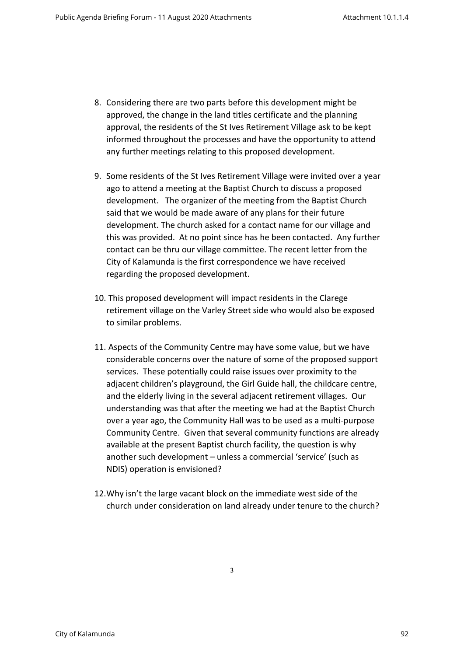- 8. Considering there are two parts before this development might be approved, the change in the land titles certificate and the planning approval, the residents of the St Ives Retirement Village ask to be kept informed throughout the processes and have the opportunity to attend any further meetings relating to this proposed development.
- 9. Some residents of the St Ives Retirement Village were invited over a year ago to attend a meeting at the Baptist Church to discuss a proposed development. The organizer of the meeting from the Baptist Church said that we would be made aware of any plans for their future development. The church asked for a contact name for our village and this was provided. At no point since has he been contacted. Any further contact can be thru our village committee. The recent letter from the City of Kalamunda is the first correspondence we have received regarding the proposed development.
- 10. This proposed development will impact residents in the Clarege retirement village on the Varley Street side who would also be exposed to similar problems.
- 11. Aspects of the Community Centre may have some value, but we have considerable concerns over the nature of some of the proposed support services. These potentially could raise issues over proximity to the adjacent children's playground, the Girl Guide hall, the childcare centre, and the elderly living in the several adjacent retirement villages. Our understanding was that after the meeting we had at the Baptist Church over a year ago, the Community Hall was to be used as a multi-purpose Community Centre. Given that several community functions are already available at the present Baptist church facility, the question is why another such development – unless a commercial 'service' (such as NDIS) operation is envisioned?
- 12.Why isn't the large vacant block on the immediate west side of the church under consideration on land already under tenure to the church?